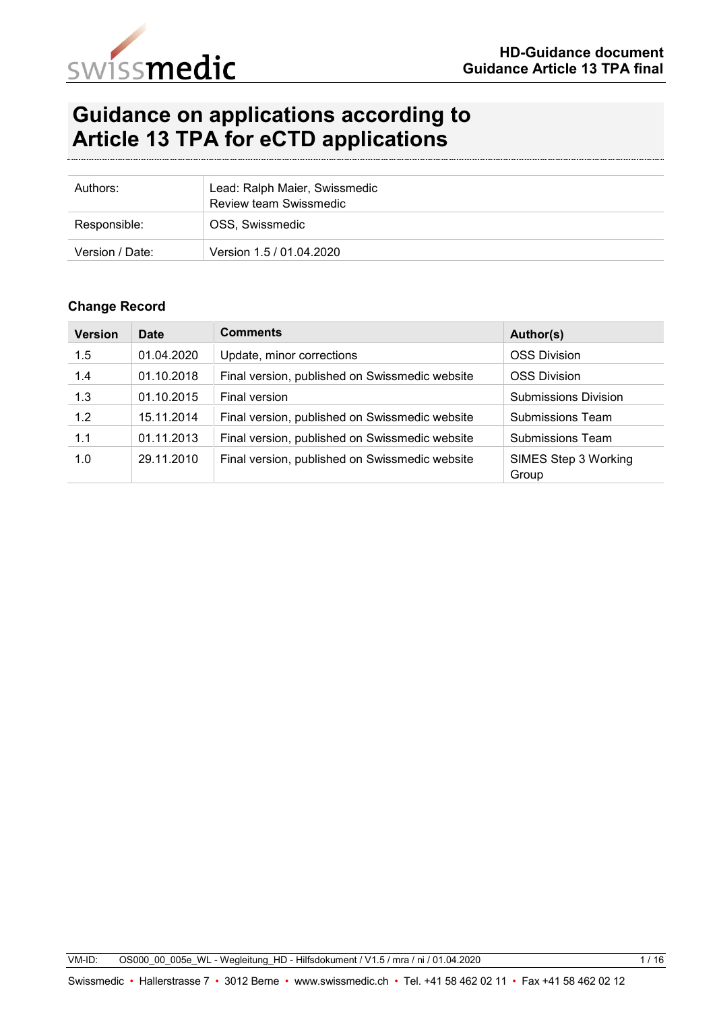

# **Guidance on applications according to Article 13 TPA for eCTD applications**

| Authors:        | Lead: Ralph Maier, Swissmedic<br><b>Review team Swissmedic</b> |
|-----------------|----------------------------------------------------------------|
| Responsible:    | OSS, Swissmedic                                                |
| Version / Date: | Version 1.5 / 01.04.2020                                       |

#### **Change Record**

| <b>Version</b> | <b>Date</b> | <b>Comments</b>                                | Author(s)                     |
|----------------|-------------|------------------------------------------------|-------------------------------|
| 1.5            | 01.04.2020  | Update, minor corrections                      | <b>OSS Division</b>           |
| 1.4            | 01.10.2018  | Final version, published on Swissmedic website | <b>OSS Division</b>           |
| 1.3            | 01.10.2015  | Final version                                  | <b>Submissions Division</b>   |
| 1.2            | 15.11.2014  | Final version, published on Swissmedic website | Submissions Team              |
| 1.1            | 01.11.2013  | Final version, published on Swissmedic website | Submissions Team              |
| 1.0            | 29.11.2010  | Final version, published on Swissmedic website | SIMES Step 3 Working<br>Group |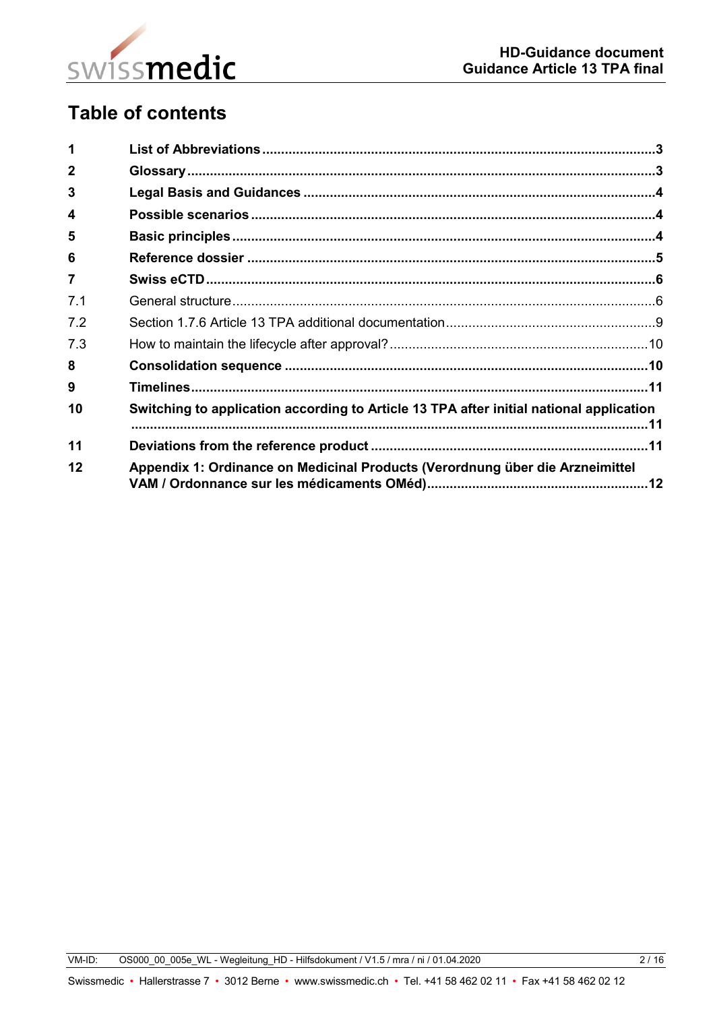

# **Table of contents**

| 1              |                                                                                         |  |
|----------------|-----------------------------------------------------------------------------------------|--|
| $\mathbf{2}$   |                                                                                         |  |
| 3              |                                                                                         |  |
| 4              |                                                                                         |  |
| 5              |                                                                                         |  |
| 6              |                                                                                         |  |
| $\overline{7}$ |                                                                                         |  |
| 7.1            |                                                                                         |  |
| 7.2            |                                                                                         |  |
| 7.3            |                                                                                         |  |
| 8              |                                                                                         |  |
| 9              |                                                                                         |  |
| 10             | Switching to application according to Article 13 TPA after initial national application |  |
| 11             |                                                                                         |  |
| 12             | Appendix 1: Ordinance on Medicinal Products (Verordnung über die Arzneimittel           |  |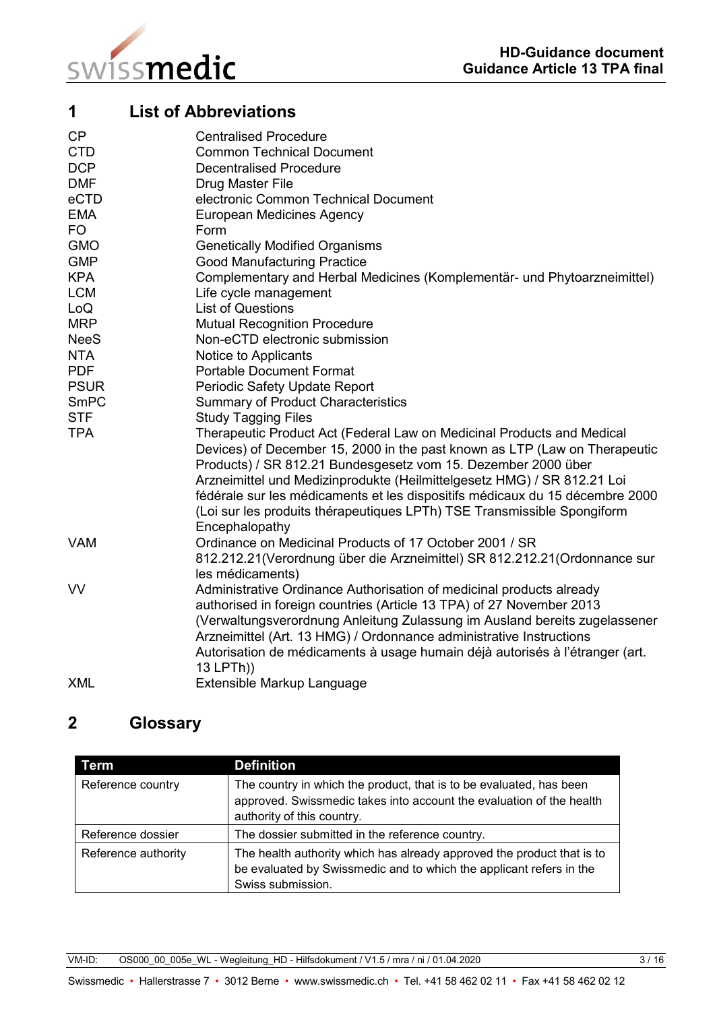

<span id="page-2-0"></span>

| 1           | <b>List of Abbreviations</b>                                                 |
|-------------|------------------------------------------------------------------------------|
| CP          | <b>Centralised Procedure</b>                                                 |
| <b>CTD</b>  | <b>Common Technical Document</b>                                             |
| <b>DCP</b>  | <b>Decentralised Procedure</b>                                               |
| <b>DMF</b>  | Drug Master File                                                             |
| eCTD        | electronic Common Technical Document                                         |
| <b>EMA</b>  | <b>European Medicines Agency</b>                                             |
| <b>FO</b>   | Form                                                                         |
| <b>GMO</b>  | <b>Genetically Modified Organisms</b>                                        |
| <b>GMP</b>  | <b>Good Manufacturing Practice</b>                                           |
| <b>KPA</b>  | Complementary and Herbal Medicines (Komplementär- und Phytoarzneimittel)     |
| <b>LCM</b>  | Life cycle management                                                        |
| LoQ         | <b>List of Questions</b>                                                     |
| <b>MRP</b>  | <b>Mutual Recognition Procedure</b>                                          |
| <b>NeeS</b> | Non-eCTD electronic submission                                               |
| <b>NTA</b>  | Notice to Applicants                                                         |
| <b>PDF</b>  | <b>Portable Document Format</b>                                              |
| <b>PSUR</b> | Periodic Safety Update Report                                                |
| SmPC        | <b>Summary of Product Characteristics</b>                                    |
| <b>STF</b>  | <b>Study Tagging Files</b>                                                   |
| <b>TPA</b>  | Therapeutic Product Act (Federal Law on Medicinal Products and Medical       |
|             | Devices) of December 15, 2000 in the past known as LTP (Law on Therapeutic   |
|             | Products) / SR 812.21 Bundesgesetz vom 15. Dezember 2000 über                |
|             | Arzneimittel und Medizinprodukte (Heilmittelgesetz HMG) / SR 812.21 Loi      |
|             | fédérale sur les médicaments et les dispositifs médicaux du 15 décembre 2000 |
|             | (Loi sur les produits thérapeutiques LPTh) TSE Transmissible Spongiform      |
|             | Encephalopathy                                                               |
| <b>VAM</b>  | Ordinance on Medicinal Products of 17 October 2001 / SR                      |
|             | 812.212.21 (Verordnung über die Arzneimittel) SR 812.212.21 (Ordonnance sur  |
|             | les médicaments)                                                             |
| <b>VV</b>   | Administrative Ordinance Authorisation of medicinal products already         |
|             | authorised in foreign countries (Article 13 TPA) of 27 November 2013         |
|             | (Verwaltungsverordnung Anleitung Zulassung im Ausland bereits zugelassener   |
|             | Arzneimittel (Art. 13 HMG) / Ordonnance administrative Instructions          |
|             | Autorisation de médicaments à usage humain déjà autorisés à l'étranger (art. |
|             | 13 LPTh))                                                                    |
| <b>XML</b>  | Extensible Markup Language                                                   |
|             |                                                                              |

## <span id="page-2-1"></span>**2 Glossary**

| Term                | <b>Definition</b>                                                                                                                                                         |
|---------------------|---------------------------------------------------------------------------------------------------------------------------------------------------------------------------|
| Reference country   | The country in which the product, that is to be evaluated, has been<br>approved. Swissmedic takes into account the evaluation of the health<br>authority of this country. |
| Reference dossier   | The dossier submitted in the reference country.                                                                                                                           |
| Reference authority | The health authority which has already approved the product that is to<br>be evaluated by Swissmedic and to which the applicant refers in the<br>Swiss submission.        |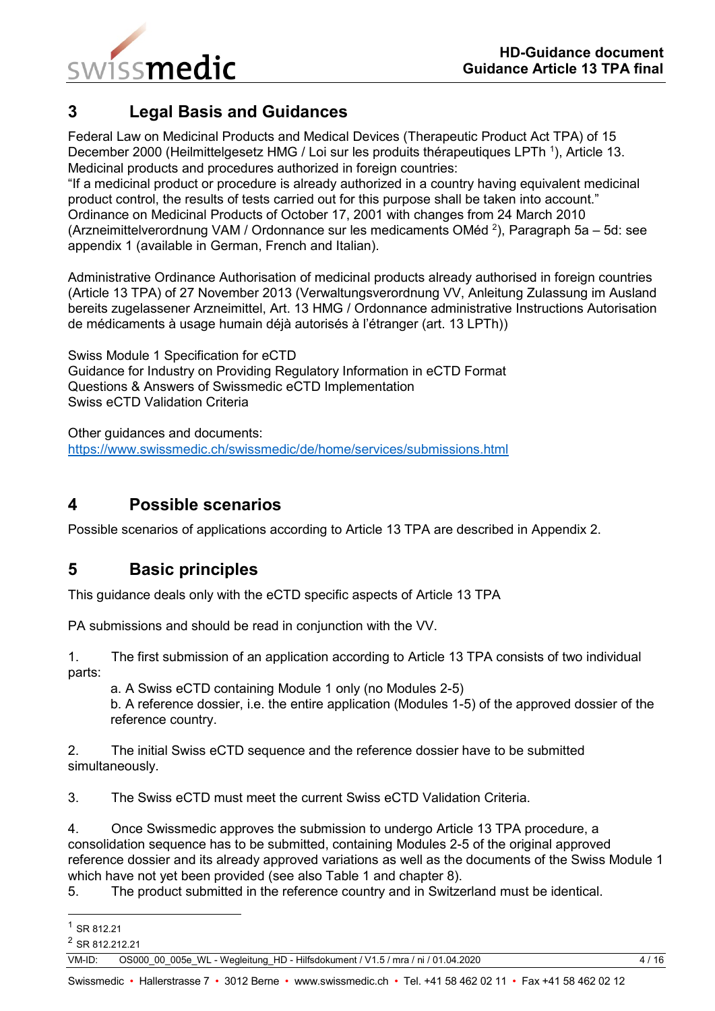

### <span id="page-3-0"></span>**3 Legal Basis and Guidances**

Federal Law on Medicinal Products and Medical Devices (Therapeutic Product Act TPA) of 15 December 2000 (Heilmittelgesetz HMG / Loi sur les produits thérapeutiques LPTh<sup>1</sup>), Article 13. Medicinal products and procedures authorized in foreign countries:

"If a medicinal product or procedure is already authorized in a country having equivalent medicinal product control, the results of tests carried out for this purpose shall be taken into account." Ordinance on Medicinal Products of October 17, 2001 with changes from 24 March 2010 (Arzneimittelverordnung VAM / Ordonnance sur les medicaments OMéd <sup>2</sup>), Paragraph 5a – 5d: see appendix 1 (available in German, French and Italian).

Administrative Ordinance Authorisation of medicinal products already authorised in foreign countries (Article 13 TPA) of 27 November 2013 (Verwaltungsverordnung VV, Anleitung Zulassung im Ausland bereits zugelassener Arzneimittel, Art. 13 HMG / Ordonnance administrative Instructions Autorisation de médicaments à usage humain déjà autorisés à l'étranger (art. 13 LPTh))

Swiss Module 1 Specification for eCTD Guidance for Industry on Providing Regulatory Information in eCTD Format Questions & Answers of Swissmedic eCTD Implementation Swiss eCTD Validation Criteria

Other guidances and documents: <https://www.swissmedic.ch/swissmedic/de/home/services/submissions.html>

## <span id="page-3-1"></span>**4 Possible scenarios**

Possible scenarios of applications according to Article 13 TPA are described in Appendix 2.

## <span id="page-3-2"></span>**5 Basic principles**

This guidance deals only with the eCTD specific aspects of Article 13 TPA

PA submissions and should be read in conjunction with the VV.

1. The first submission of an application according to Article 13 TPA consists of two individual parts:

a. A Swiss eCTD containing Module 1 only (no Modules 2-5)

b. A reference dossier, i.e. the entire application (Modules 1-5) of the approved dossier of the reference country.

2. The initial Swiss eCTD sequence and the reference dossier have to be submitted simultaneously.

3. The Swiss eCTD must meet the current Swiss eCTD Validation Criteria.

4. Once Swissmedic approves the submission to undergo Article 13 TPA procedure, a consolidation sequence has to be submitted, containing Modules 2-5 of the original approved reference dossier and its already approved variations as well as the documents of the Swiss Module 1 which have not yet been provided (see also Table 1 and chapter 8).

5. The product submitted in the reference country and in Switzerland must be identical.

-

<sup>1</sup> SR 812.21

<sup>2</sup> SR 812.212.21

VM-ID: OS000 00 005e WL - Wegleitung HD - Hilfsdokument / V1.5 / mra / ni / 01.04.2020 4 / 16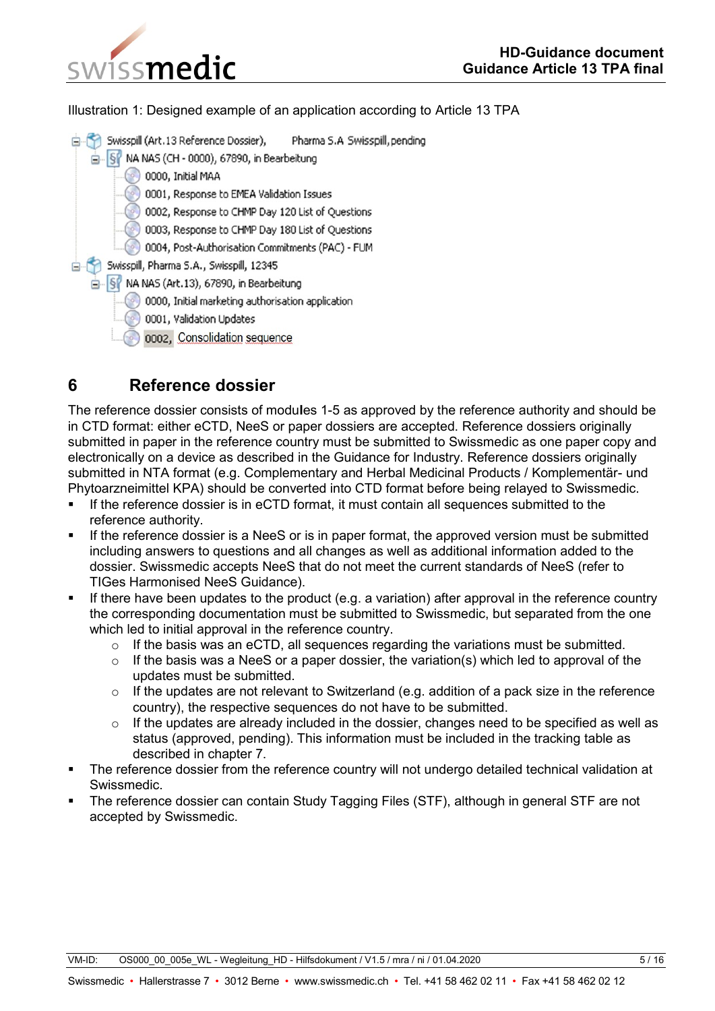

Illustration 1: Designed example of an application according to Article 13 TPA



## <span id="page-4-0"></span>**6 Reference dossier**

The reference dossier consists of modu**l**es 1-5 as approved by the reference authority and should be in CTD format: either eCTD, NeeS or paper dossiers are accepted. Reference dossiers originally submitted in paper in the reference country must be submitted to Swissmedic as one paper copy and electronically on a device as described in the Guidance for Industry. Reference dossiers originally submitted in NTA format (e.g. Complementary and Herbal Medicinal Products / Komplementär- und Phytoarzneimittel KPA) should be converted into CTD format before being relayed to Swissmedic.

- If the reference dossier is in eCTD format, it must contain all sequences submitted to the reference authority.
- If the reference dossier is a NeeS or is in paper format, the approved version must be submitted including answers to questions and all changes as well as additional information added to the dossier. Swissmedic accepts NeeS that do not meet the current standards of NeeS (refer to TIGes Harmonised NeeS Guidance).
- If there have been updates to the product (e.g. a variation) after approval in the reference country the corresponding documentation must be submitted to Swissmedic, but separated from the one which led to initial approval in the reference country.
	- o If the basis was an eCTD, all sequences regarding the variations must be submitted.
	- $\circ$  If the basis was a NeeS or a paper dossier, the variation(s) which led to approval of the updates must be submitted.
	- $\circ$  If the updates are not relevant to Switzerland (e.g. addition of a pack size in the reference country), the respective sequences do not have to be submitted.
	- $\circ$  If the updates are already included in the dossier, changes need to be specified as well as status (approved, pending). This information must be included in the tracking table as described in chapter 7.
- The reference dossier from the reference country will not undergo detailed technical validation at Swissmedic.
- The reference dossier can contain Study Tagging Files (STF), although in general STF are not accepted by Swissmedic.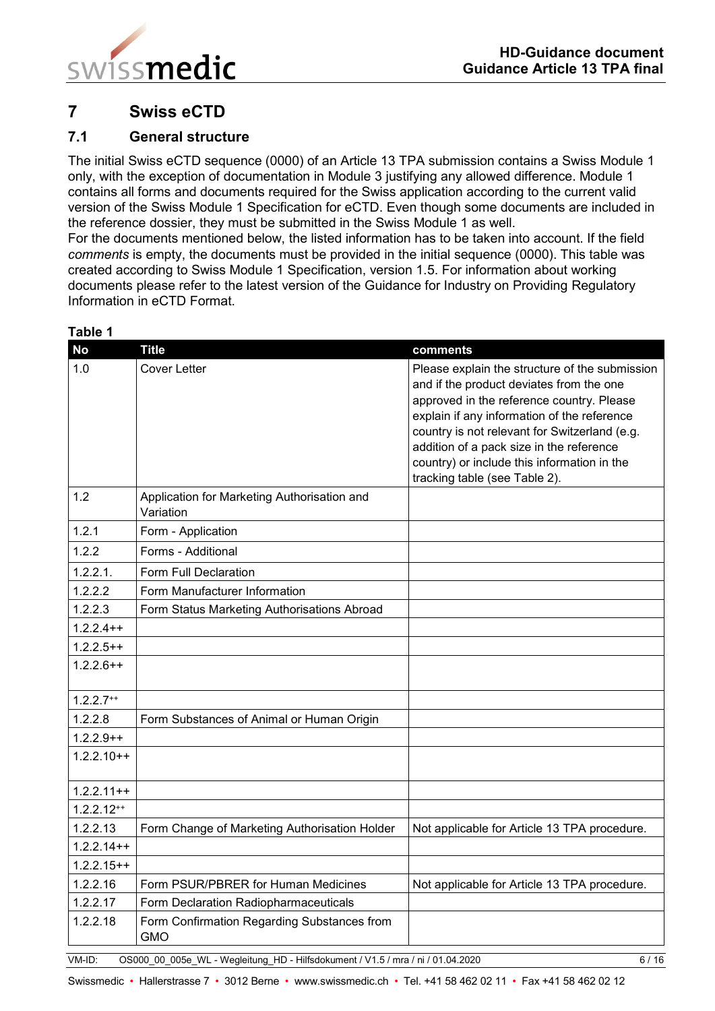

## <span id="page-5-0"></span>**7 Swiss eCTD**

#### <span id="page-5-1"></span>**7.1 General structure**

The initial Swiss eCTD sequence (0000) of an Article 13 TPA submission contains a Swiss Module 1 only, with the exception of documentation in Module 3 justifying any allowed difference. Module 1 contains all forms and documents required for the Swiss application according to the current valid version of the Swiss Module 1 Specification for eCTD. Even though some documents are included in the reference dossier, they must be submitted in the Swiss Module 1 as well.

For the documents mentioned below, the listed information has to be taken into account. If the field *comments* is empty, the documents must be provided in the initial sequence (0000). This table was created according to Swiss Module 1 Specification, version 1.5. For information about working documents please refer to the latest version of the Guidance for Industry on Providing Regulatory Information in eCTD Format.

| <b>No</b>    | <b>Title</b>                                                                    | comments                                                                                                                                                                                                                                                                                                                                                            |
|--------------|---------------------------------------------------------------------------------|---------------------------------------------------------------------------------------------------------------------------------------------------------------------------------------------------------------------------------------------------------------------------------------------------------------------------------------------------------------------|
| 1.0          | <b>Cover Letter</b>                                                             | Please explain the structure of the submission<br>and if the product deviates from the one<br>approved in the reference country. Please<br>explain if any information of the reference<br>country is not relevant for Switzerland (e.g.<br>addition of a pack size in the reference<br>country) or include this information in the<br>tracking table (see Table 2). |
| 1.2          | Application for Marketing Authorisation and<br>Variation                        |                                                                                                                                                                                                                                                                                                                                                                     |
| 1.2.1        | Form - Application                                                              |                                                                                                                                                                                                                                                                                                                                                                     |
| 1.2.2        | Forms - Additional                                                              |                                                                                                                                                                                                                                                                                                                                                                     |
| 1.2.2.1.     | Form Full Declaration                                                           |                                                                                                                                                                                                                                                                                                                                                                     |
| 1.2.2.2      | Form Manufacturer Information                                                   |                                                                                                                                                                                                                                                                                                                                                                     |
| 1.2.2.3      | Form Status Marketing Authorisations Abroad                                     |                                                                                                                                                                                                                                                                                                                                                                     |
| $1.2.2.4++$  |                                                                                 |                                                                                                                                                                                                                                                                                                                                                                     |
| $1.2.2.5++$  |                                                                                 |                                                                                                                                                                                                                                                                                                                                                                     |
| $1.2.2.6++$  |                                                                                 |                                                                                                                                                                                                                                                                                                                                                                     |
| $1.2.2.7**$  |                                                                                 |                                                                                                                                                                                                                                                                                                                                                                     |
| 1.2.2.8      | Form Substances of Animal or Human Origin                                       |                                                                                                                                                                                                                                                                                                                                                                     |
| $1.2.2.9++$  |                                                                                 |                                                                                                                                                                                                                                                                                                                                                                     |
| $1.2.2.10++$ |                                                                                 |                                                                                                                                                                                                                                                                                                                                                                     |
| $1.2.2.11++$ |                                                                                 |                                                                                                                                                                                                                                                                                                                                                                     |
| $1.2.2.12**$ |                                                                                 |                                                                                                                                                                                                                                                                                                                                                                     |
| 1.2.2.13     | Form Change of Marketing Authorisation Holder                                   | Not applicable for Article 13 TPA procedure.                                                                                                                                                                                                                                                                                                                        |
| $1.2.2.14++$ |                                                                                 |                                                                                                                                                                                                                                                                                                                                                                     |
| $1.2.2.15++$ |                                                                                 |                                                                                                                                                                                                                                                                                                                                                                     |
| 1.2.2.16     | Form PSUR/PBRER for Human Medicines                                             | Not applicable for Article 13 TPA procedure.                                                                                                                                                                                                                                                                                                                        |
| 1.2.2.17     | Form Declaration Radiopharmaceuticals                                           |                                                                                                                                                                                                                                                                                                                                                                     |
| 1.2.2.18     | Form Confirmation Regarding Substances from<br><b>GMO</b>                       |                                                                                                                                                                                                                                                                                                                                                                     |
| VM-ID:       | OS000_00_005e_WL - Wegleitung_HD - Hilfsdokument / V1.5 / mra / ni / 01.04.2020 | 6/16                                                                                                                                                                                                                                                                                                                                                                |

#### **Table 1**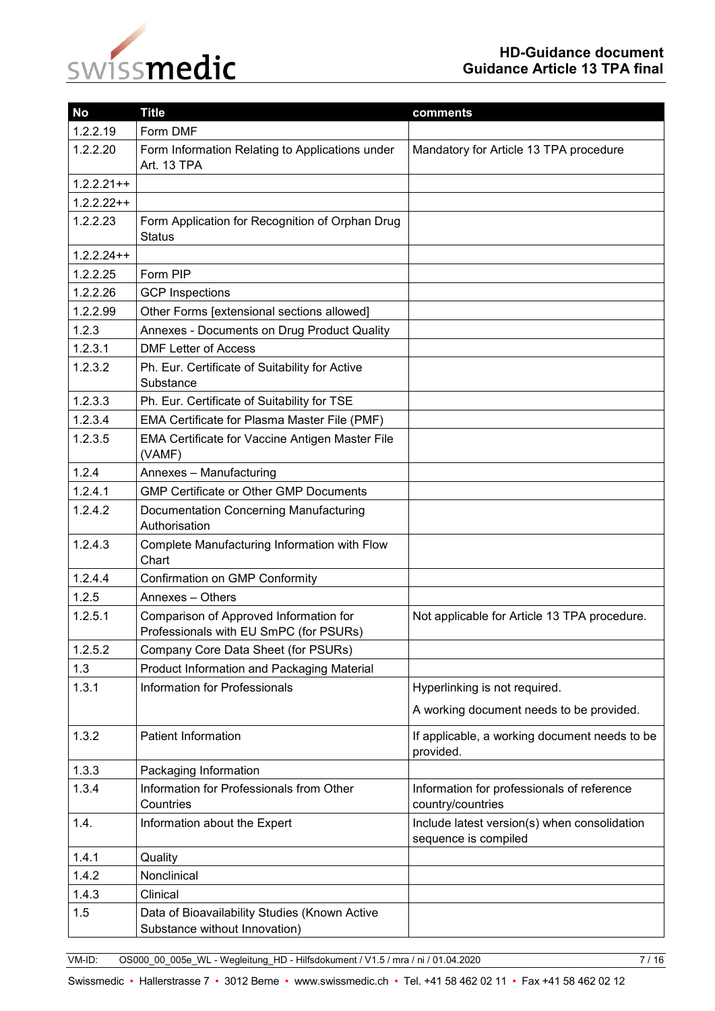# swissmedic

| <b>No</b>    | <b>Title</b>                                                                                                                     | comments                                 |  |
|--------------|----------------------------------------------------------------------------------------------------------------------------------|------------------------------------------|--|
| 1.2.2.19     | Form DMF                                                                                                                         |                                          |  |
| 1.2.2.20     | Form Information Relating to Applications under<br>Mandatory for Article 13 TPA procedure<br>Art. 13 TPA                         |                                          |  |
| $1.2.2.21++$ |                                                                                                                                  |                                          |  |
| $1.2.2.22++$ |                                                                                                                                  |                                          |  |
| 1.2.2.23     | Form Application for Recognition of Orphan Drug<br><b>Status</b>                                                                 |                                          |  |
| $1.2.2.24++$ |                                                                                                                                  |                                          |  |
| 1.2.2.25     | Form PIP                                                                                                                         |                                          |  |
| 1.2.2.26     | <b>GCP</b> Inspections                                                                                                           |                                          |  |
| 1.2.2.99     | Other Forms [extensional sections allowed]                                                                                       |                                          |  |
| 1.2.3        | Annexes - Documents on Drug Product Quality                                                                                      |                                          |  |
| 1.2.3.1      | <b>DMF Letter of Access</b>                                                                                                      |                                          |  |
| 1.2.3.2      | Ph. Eur. Certificate of Suitability for Active<br>Substance                                                                      |                                          |  |
| 1.2.3.3      | Ph. Eur. Certificate of Suitability for TSE                                                                                      |                                          |  |
| 1.2.3.4      | EMA Certificate for Plasma Master File (PMF)                                                                                     |                                          |  |
| 1.2.3.5      | <b>EMA Certificate for Vaccine Antigen Master File</b><br>(VAMF)                                                                 |                                          |  |
| 1.2.4        | Annexes - Manufacturing                                                                                                          |                                          |  |
| 1.2.4.1      | <b>GMP Certificate or Other GMP Documents</b>                                                                                    |                                          |  |
| 1.2.4.2      | Documentation Concerning Manufacturing<br>Authorisation                                                                          |                                          |  |
| 1.2.4.3      | Complete Manufacturing Information with Flow<br>Chart                                                                            |                                          |  |
| 1.2.4.4      | Confirmation on GMP Conformity                                                                                                   |                                          |  |
| 1.2.5        | Annexes - Others                                                                                                                 |                                          |  |
| 1.2.5.1      | Comparison of Approved Information for<br>Not applicable for Article 13 TPA procedure.<br>Professionals with EU SmPC (for PSURs) |                                          |  |
| 1.2.5.2      | Company Core Data Sheet (for PSURs)                                                                                              |                                          |  |
| 1.3          | Product Information and Packaging Material                                                                                       |                                          |  |
| 1.3.1        | Information for Professionals                                                                                                    | Hyperlinking is not required.            |  |
|              |                                                                                                                                  | A working document needs to be provided. |  |
| 1.3.2        | <b>Patient Information</b><br>If applicable, a working document needs to be<br>provided.                                         |                                          |  |
| 1.3.3        | Packaging Information                                                                                                            |                                          |  |
| 1.3.4        | Information for Professionals from Other<br>Information for professionals of reference<br>Countries<br>country/countries         |                                          |  |
| 1.4.         | Information about the Expert<br>Include latest version(s) when consolidation<br>sequence is compiled                             |                                          |  |
| 1.4.1        | Quality                                                                                                                          |                                          |  |
| 1.4.2        | Nonclinical                                                                                                                      |                                          |  |
| 1.4.3        | Clinical                                                                                                                         |                                          |  |
| 1.5          | Data of Bioavailability Studies (Known Active<br>Substance without Innovation)                                                   |                                          |  |

VM-ID: OS000\_00\_005e\_WL - Wegleitung\_HD - Hilfsdokument / V1.5 / mra / ni / 01.04.2020 7 / 16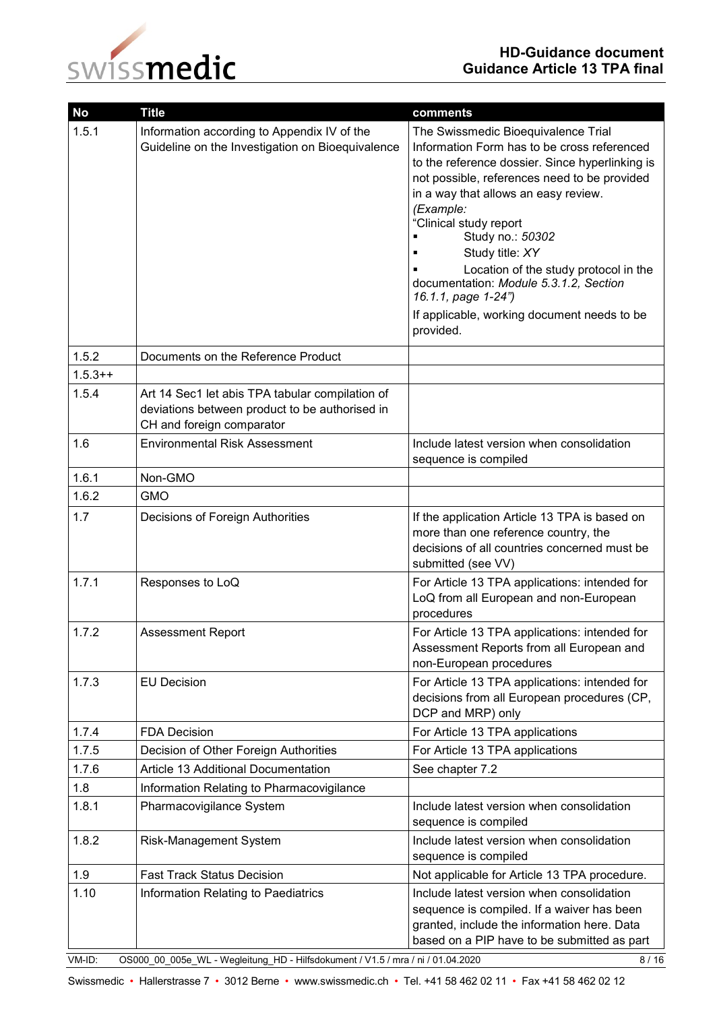

| <b>No</b> | <b>Title</b>                                                                                                                   | comments                                                                                                                                                                                                                                                                                                                                                                                                                                                                          |
|-----------|--------------------------------------------------------------------------------------------------------------------------------|-----------------------------------------------------------------------------------------------------------------------------------------------------------------------------------------------------------------------------------------------------------------------------------------------------------------------------------------------------------------------------------------------------------------------------------------------------------------------------------|
| 1.5.1     | Information according to Appendix IV of the<br>Guideline on the Investigation on Bioequivalence                                | The Swissmedic Bioequivalence Trial<br>Information Form has to be cross referenced<br>to the reference dossier. Since hyperlinking is<br>not possible, references need to be provided<br>in a way that allows an easy review.<br>(Example:<br>"Clinical study report<br>Study no.: 50302<br>Study title: XY<br>Location of the study protocol in the<br>documentation: Module 5.3.1.2, Section<br>16.1.1, page 1-24")<br>If applicable, working document needs to be<br>provided. |
| 1.5.2     | Documents on the Reference Product                                                                                             |                                                                                                                                                                                                                                                                                                                                                                                                                                                                                   |
| $1.5.3++$ |                                                                                                                                |                                                                                                                                                                                                                                                                                                                                                                                                                                                                                   |
| 1.5.4     | Art 14 Sec1 let abis TPA tabular compilation of<br>deviations between product to be authorised in<br>CH and foreign comparator |                                                                                                                                                                                                                                                                                                                                                                                                                                                                                   |
| 1.6       | <b>Environmental Risk Assessment</b>                                                                                           | Include latest version when consolidation<br>sequence is compiled                                                                                                                                                                                                                                                                                                                                                                                                                 |
| 1.6.1     | Non-GMO                                                                                                                        |                                                                                                                                                                                                                                                                                                                                                                                                                                                                                   |
| 1.6.2     | <b>GMO</b>                                                                                                                     |                                                                                                                                                                                                                                                                                                                                                                                                                                                                                   |
| 1.7       | Decisions of Foreign Authorities                                                                                               | If the application Article 13 TPA is based on<br>more than one reference country, the<br>decisions of all countries concerned must be<br>submitted (see VV)                                                                                                                                                                                                                                                                                                                       |
| 1.7.1     | Responses to LoQ                                                                                                               | For Article 13 TPA applications: intended for<br>LoQ from all European and non-European<br>procedures                                                                                                                                                                                                                                                                                                                                                                             |
| 1.7.2     | <b>Assessment Report</b>                                                                                                       | For Article 13 TPA applications: intended for<br>Assessment Reports from all European and<br>non-European procedures                                                                                                                                                                                                                                                                                                                                                              |
| 1.7.3     | <b>EU Decision</b>                                                                                                             | For Article 13 TPA applications: intended for<br>decisions from all European procedures (CP,<br>DCP and MRP) only                                                                                                                                                                                                                                                                                                                                                                 |
| 1.7.4     | <b>FDA Decision</b>                                                                                                            | For Article 13 TPA applications                                                                                                                                                                                                                                                                                                                                                                                                                                                   |
| 1.7.5     | Decision of Other Foreign Authorities                                                                                          | For Article 13 TPA applications                                                                                                                                                                                                                                                                                                                                                                                                                                                   |
| 1.7.6     | Article 13 Additional Documentation                                                                                            | See chapter 7.2                                                                                                                                                                                                                                                                                                                                                                                                                                                                   |
| 1.8       | Information Relating to Pharmacovigilance                                                                                      |                                                                                                                                                                                                                                                                                                                                                                                                                                                                                   |
| 1.8.1     | Pharmacovigilance System                                                                                                       | Include latest version when consolidation<br>sequence is compiled                                                                                                                                                                                                                                                                                                                                                                                                                 |
| 1.8.2     | <b>Risk-Management System</b>                                                                                                  | Include latest version when consolidation<br>sequence is compiled                                                                                                                                                                                                                                                                                                                                                                                                                 |
| 1.9       | <b>Fast Track Status Decision</b>                                                                                              | Not applicable for Article 13 TPA procedure.                                                                                                                                                                                                                                                                                                                                                                                                                                      |
| 1.10      | Information Relating to Paediatrics                                                                                            | Include latest version when consolidation<br>sequence is compiled. If a waiver has been<br>granted, include the information here. Data<br>based on a PIP have to be submitted as part                                                                                                                                                                                                                                                                                             |
| VM-ID:    | OS000_00_005e_WL - Wegleitung_HD - Hilfsdokument / V1.5 / mra / ni / 01.04.2020                                                | 8/16                                                                                                                                                                                                                                                                                                                                                                                                                                                                              |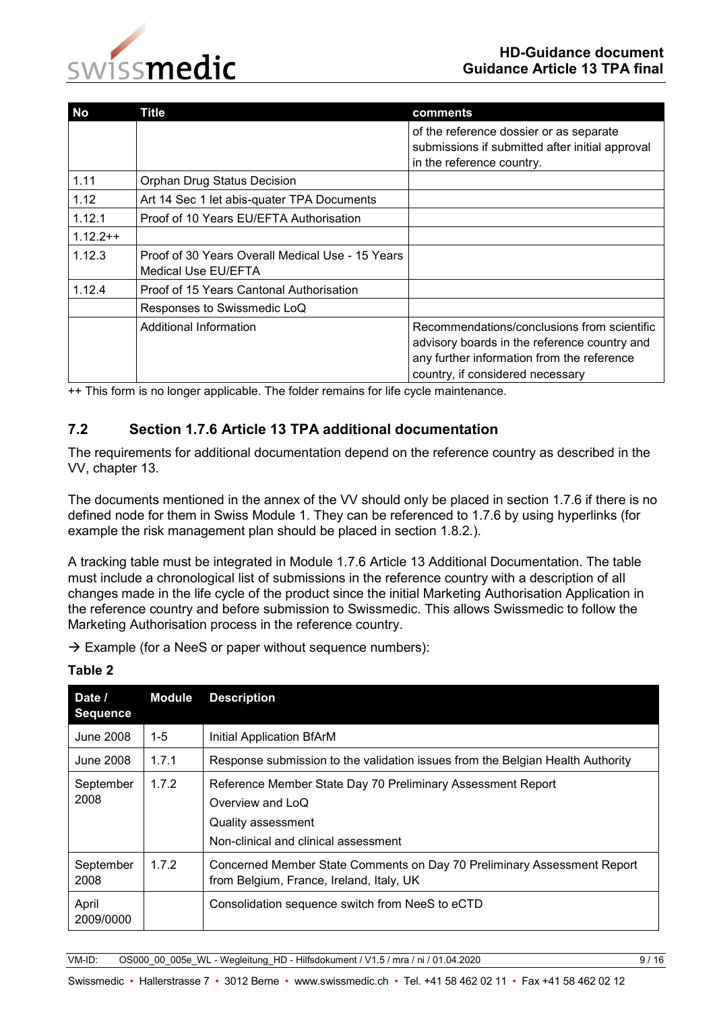

| <b>No</b>  | Title                                                                   | comments                                                                                                                                                                      |
|------------|-------------------------------------------------------------------------|-------------------------------------------------------------------------------------------------------------------------------------------------------------------------------|
|            |                                                                         | of the reference dossier or as separate<br>submissions if submitted after initial approval<br>in the reference country.                                                       |
| 1.11       | Orphan Drug Status Decision                                             |                                                                                                                                                                               |
| 1.12       | Art 14 Sec 1 let abis-quater TPA Documents                              |                                                                                                                                                                               |
| 1.12.1     | Proof of 10 Years EU/EFTA Authorisation                                 |                                                                                                                                                                               |
| $1.12.2++$ |                                                                         |                                                                                                                                                                               |
| 1.12.3     | Proof of 30 Years Overall Medical Use - 15 Years<br>Medical Use EU/EFTA |                                                                                                                                                                               |
| 1.12.4     | Proof of 15 Years Cantonal Authorisation                                |                                                                                                                                                                               |
|            | Responses to Swissmedic LoQ                                             |                                                                                                                                                                               |
|            | Additional Information                                                  | Recommendations/conclusions from scientific<br>advisory boards in the reference country and<br>any further information from the reference<br>country, if considered necessary |

++ This form is no longer applicable. The folder remains for life cycle maintenance.

#### <span id="page-8-0"></span>**7.2 Section 1.7.6 Article 13 TPA additional documentation**

The requirements for additional documentation depend on the reference country as described in the VV, chapter 13.

The documents mentioned in the annex of the VV should only be placed in section 1.7.6 if there is no defined node for them in Swiss Module 1. They can be referenced to 1.7.6 by using hyperlinks (for example the risk management plan should be placed in section 1.8.2.).

A tracking table must be integrated in Module 1.7.6 Article 13 Additional Documentation. The table must include a chronological list of submissions in the reference country with a description of all changes made in the life cycle of the product since the initial Marketing Authorisation Application in the reference country and before submission to Swissmedic. This allows Swissmedic to follow the Marketing Authorisation process in the reference country.

 $\rightarrow$  Example (for a NeeS or paper without sequence numbers):

| Date /<br><b>Sequence</b> | Module  | <b>Description</b>                                                                                                                            |
|---------------------------|---------|-----------------------------------------------------------------------------------------------------------------------------------------------|
| June 2008                 | $1 - 5$ | Initial Application BfArM                                                                                                                     |
| June 2008                 | 1.7.1   | Response submission to the validation issues from the Belgian Health Authority                                                                |
| September<br>2008         | 1.7.2   | Reference Member State Day 70 Preliminary Assessment Report<br>Overview and LoQ<br>Quality assessment<br>Non-clinical and clinical assessment |
| September<br>2008         | 1.7.2   | Concerned Member State Comments on Day 70 Preliminary Assessment Report<br>from Belgium, France, Ireland, Italy, UK                           |
| April<br>2009/0000        |         | Consolidation sequence switch from NeeS to eCTD                                                                                               |

#### **Table 2**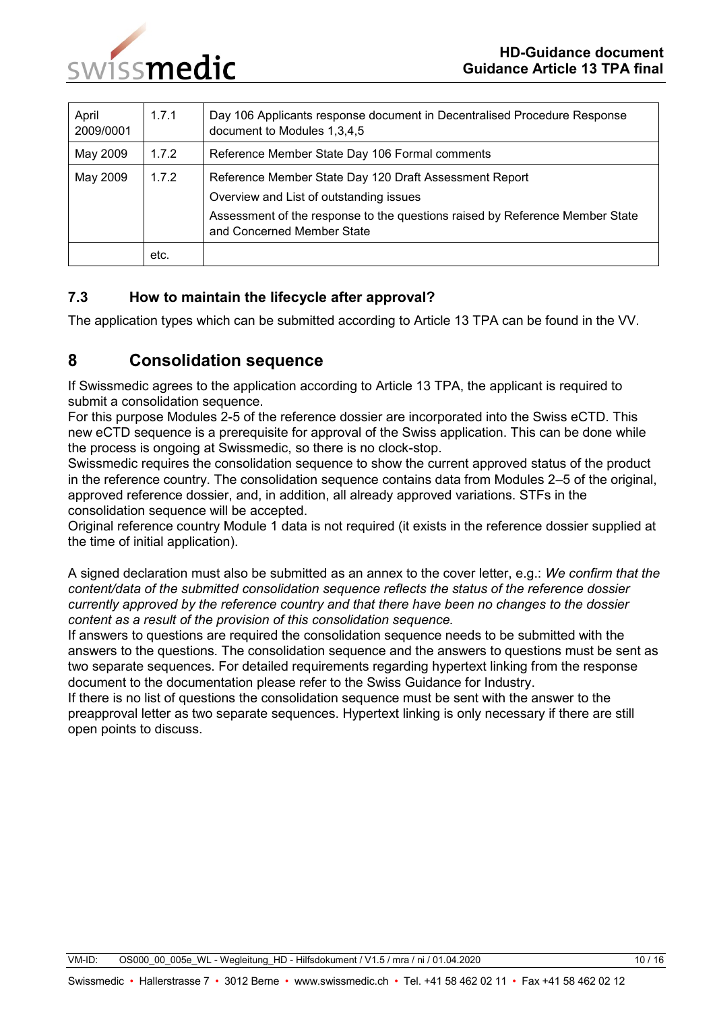

| April<br>2009/0001 | 1.7.1 | Day 106 Applicants response document in Decentralised Procedure Response<br>document to Modules 1,3,4,5                                                                                                         |  |
|--------------------|-------|-----------------------------------------------------------------------------------------------------------------------------------------------------------------------------------------------------------------|--|
| May 2009           | 1.7.2 | Reference Member State Day 106 Formal comments                                                                                                                                                                  |  |
| May 2009           | 1.7.2 | Reference Member State Day 120 Draft Assessment Report<br>Overview and List of outstanding issues<br>Assessment of the response to the questions raised by Reference Member State<br>and Concerned Member State |  |
|                    | etc.  |                                                                                                                                                                                                                 |  |

#### <span id="page-9-0"></span>**7.3 How to maintain the lifecycle after approval?**

The application types which can be submitted according to Article 13 TPA can be found in the VV.

### <span id="page-9-1"></span>**8 Consolidation sequence**

If Swissmedic agrees to the application according to Article 13 TPA, the applicant is required to submit a consolidation sequence.

For this purpose Modules 2-5 of the reference dossier are incorporated into the Swiss eCTD. This new eCTD sequence is a prerequisite for approval of the Swiss application. This can be done while the process is ongoing at Swissmedic, so there is no clock-stop.

Swissmedic requires the consolidation sequence to show the current approved status of the product in the reference country. The consolidation sequence contains data from Modules 2–5 of the original, approved reference dossier, and, in addition, all already approved variations. STFs in the consolidation sequence will be accepted.

Original reference country Module 1 data is not required (it exists in the reference dossier supplied at the time of initial application).

A signed declaration must also be submitted as an annex to the cover letter, e.g.: *We confirm that the content/data of the submitted consolidation sequence reflects the status of the reference dossier currently approved by the reference country and that there have been no changes to the dossier content as a result of the provision of this consolidation sequence.*

If answers to questions are required the consolidation sequence needs to be submitted with the answers to the questions. The consolidation sequence and the answers to questions must be sent as two separate sequences. For detailed requirements regarding hypertext linking from the response document to the documentation please refer to the Swiss Guidance for Industry.

If there is no list of questions the consolidation sequence must be sent with the answer to the preapproval letter as two separate sequences. Hypertext linking is only necessary if there are still open points to discuss.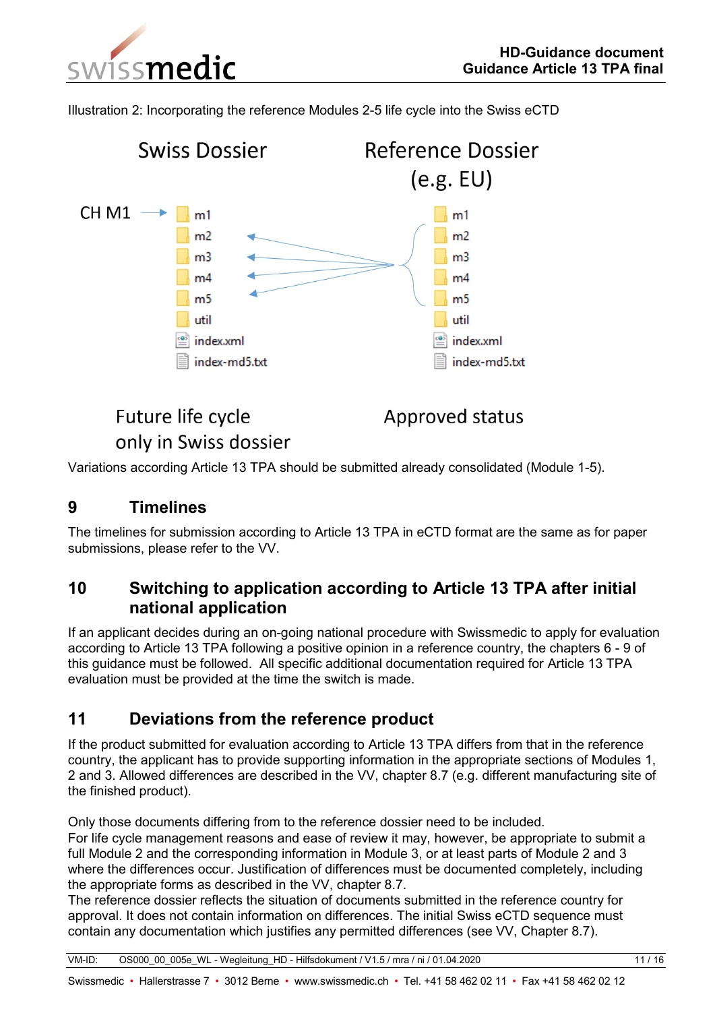issmedic

Illustration 2: Incorporating the reference Modules 2-5 life cycle into the Swiss eCTD



# Future life cycle only in Swiss dossier

Approved status

Variations according Article 13 TPA should be submitted already consolidated (Module 1-5).

#### <span id="page-10-0"></span>**9 Timelines**

The timelines for submission according to Article 13 TPA in eCTD format are the same as for paper submissions, please refer to the VV.

### <span id="page-10-1"></span>**10 Switching to application according to Article 13 TPA after initial national application**

If an applicant decides during an on-going national procedure with Swissmedic to apply for evaluation according to Article 13 TPA following a positive opinion in a reference country, the chapters 6 - 9 of this guidance must be followed. All specific additional documentation required for Article 13 TPA evaluation must be provided at the time the switch is made.

## <span id="page-10-2"></span>**11 Deviations from the reference product**

If the product submitted for evaluation according to Article 13 TPA differs from that in the reference country, the applicant has to provide supporting information in the appropriate sections of Modules 1, 2 and 3. Allowed differences are described in the VV, chapter 8.7 (e.g. different manufacturing site of the finished product).

Only those documents differing from to the reference dossier need to be included.

For life cycle management reasons and ease of review it may, however, be appropriate to submit a full Module 2 and the corresponding information in Module 3, or at least parts of Module 2 and 3 where the differences occur. Justification of differences must be documented completely, including the appropriate forms as described in the VV, chapter 8.7.

The reference dossier reflects the situation of documents submitted in the reference country for approval. It does not contain information on differences. The initial Swiss eCTD sequence must contain any documentation which justifies any permitted differences (see VV, Chapter 8.7).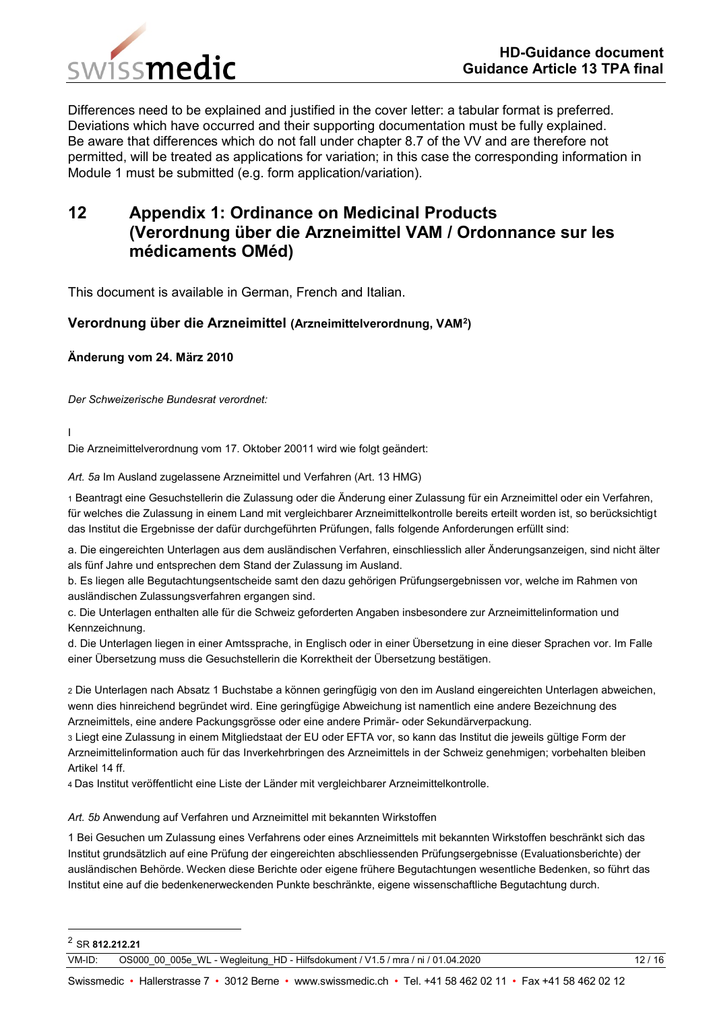



Differences need to be explained and justified in the cover letter: a tabular format is preferred. Deviations which have occurred and their supporting documentation must be fully explained. Be aware that differences which do not fall under chapter 8.7 of the VV and are therefore not permitted, will be treated as applications for variation; in this case the corresponding information in Module 1 must be submitted (e.g. form application/variation).

## <span id="page-11-0"></span>**12 Appendix 1: Ordinance on Medicinal Products (Verordnung über die Arzneimittel VAM / Ordonnance sur les médicaments OMéd)**

This document is available in German, French and Italian.

#### **Verordnung über die Arzneimittel (Arzneimittelverordnung, VAM<sup>2</sup> )**

#### **Änderung vom 24. März 2010**

*Der Schweizerische Bundesrat verordnet:*

I

Die Arzneimittelverordnung vom 17. Oktober 20011 wird wie folgt geändert:

*Art. 5a* Im Ausland zugelassene Arzneimittel und Verfahren (Art. 13 HMG)

1 Beantragt eine Gesuchstellerin die Zulassung oder die Änderung einer Zulassung für ein Arzneimittel oder ein Verfahren, für welches die Zulassung in einem Land mit vergleichbarer Arzneimittelkontrolle bereits erteilt worden ist, so berücksichtigt das Institut die Ergebnisse der dafür durchgeführten Prüfungen, falls folgende Anforderungen erfüllt sind:

a. Die eingereichten Unterlagen aus dem ausländischen Verfahren, einschliesslich aller Änderungsanzeigen, sind nicht älter als fünf Jahre und entsprechen dem Stand der Zulassung im Ausland.

b. Es liegen alle Begutachtungsentscheide samt den dazu gehörigen Prüfungsergebnissen vor, welche im Rahmen von ausländischen Zulassungsverfahren ergangen sind.

c. Die Unterlagen enthalten alle für die Schweiz geforderten Angaben insbesondere zur Arzneimittelinformation und Kennzeichnung.

d. Die Unterlagen liegen in einer Amtssprache, in Englisch oder in einer Übersetzung in eine dieser Sprachen vor. Im Falle einer Übersetzung muss die Gesuchstellerin die Korrektheit der Übersetzung bestätigen.

2 Die Unterlagen nach Absatz 1 Buchstabe a können geringfügig von den im Ausland eingereichten Unterlagen abweichen, wenn dies hinreichend begründet wird. Eine geringfügige Abweichung ist namentlich eine andere Bezeichnung des Arzneimittels, eine andere Packungsgrösse oder eine andere Primär- oder Sekundärverpackung.

3 Liegt eine Zulassung in einem Mitgliedstaat der EU oder EFTA vor, so kann das Institut die jeweils gültige Form der Arzneimittelinformation auch für das Inverkehrbringen des Arzneimittels in der Schweiz genehmigen; vorbehalten bleiben Artikel 14 ff.

4 Das Institut veröffentlicht eine Liste der Länder mit vergleichbarer Arzneimittelkontrolle.

*Art. 5b* Anwendung auf Verfahren und Arzneimittel mit bekannten Wirkstoffen

1 Bei Gesuchen um Zulassung eines Verfahrens oder eines Arzneimittels mit bekannten Wirkstoffen beschränkt sich das Institut grundsätzlich auf eine Prüfung der eingereichten abschliessenden Prüfungsergebnisse (Evaluationsberichte) der ausländischen Behörde. Wecken diese Berichte oder eigene frühere Begutachtungen wesentliche Bedenken, so führt das Institut eine auf die bedenkenerweckenden Punkte beschränkte, eigene wissenschaftliche Begutachtung durch.

-

<sup>2</sup> SR **812.212.21**

VM-ID: OS000 00 005e WL - Wegleitung HD - Hilfsdokument / V1.5 / mra / ni / 01.04.2020 12 / 16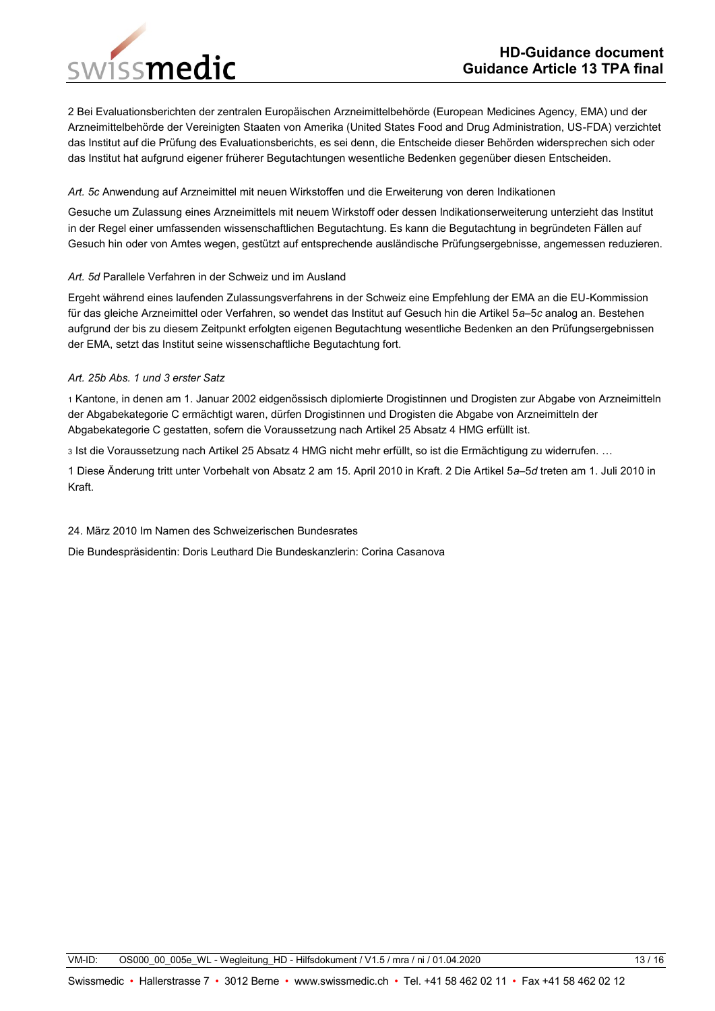#### **HD-Guidance document Guidance Article 13 TPA final**

issmedic

2 Bei Evaluationsberichten der zentralen Europäischen Arzneimittelbehörde (European Medicines Agency, EMA) und der Arzneimittelbehörde der Vereinigten Staaten von Amerika (United States Food and Drug Administration, US-FDA) verzichtet das Institut auf die Prüfung des Evaluationsberichts, es sei denn, die Entscheide dieser Behörden widersprechen sich oder das Institut hat aufgrund eigener früherer Begutachtungen wesentliche Bedenken gegenüber diesen Entscheiden.

#### *Art. 5c* Anwendung auf Arzneimittel mit neuen Wirkstoffen und die Erweiterung von deren Indikationen

Gesuche um Zulassung eines Arzneimittels mit neuem Wirkstoff oder dessen Indikationserweiterung unterzieht das Institut in der Regel einer umfassenden wissenschaftlichen Begutachtung. Es kann die Begutachtung in begründeten Fällen auf Gesuch hin oder von Amtes wegen, gestützt auf entsprechende ausländische Prüfungsergebnisse, angemessen reduzieren.

#### *Art. 5d* Parallele Verfahren in der Schweiz und im Ausland

Ergeht während eines laufenden Zulassungsverfahrens in der Schweiz eine Empfehlung der EMA an die EU-Kommission für das gleiche Arzneimittel oder Verfahren, so wendet das Institut auf Gesuch hin die Artikel 5*a*–5*c* analog an. Bestehen aufgrund der bis zu diesem Zeitpunkt erfolgten eigenen Begutachtung wesentliche Bedenken an den Prüfungsergebnissen der EMA, setzt das Institut seine wissenschaftliche Begutachtung fort.

#### *Art. 25b Abs. 1 und 3 erster Satz*

1 Kantone, in denen am 1. Januar 2002 eidgenössisch diplomierte Drogistinnen und Drogisten zur Abgabe von Arzneimitteln der Abgabekategorie C ermächtigt waren, dürfen Drogistinnen und Drogisten die Abgabe von Arzneimitteln der Abgabekategorie C gestatten, sofern die Voraussetzung nach Artikel 25 Absatz 4 HMG erfüllt ist.

3 Ist die Voraussetzung nach Artikel 25 Absatz 4 HMG nicht mehr erfüllt, so ist die Ermächtigung zu widerrufen. …

1 Diese Änderung tritt unter Vorbehalt von Absatz 2 am 15. April 2010 in Kraft. 2 Die Artikel 5*a*–5*d* treten am 1. Juli 2010 in Kraft.

#### 24. März 2010 Im Namen des Schweizerischen Bundesrates

Die Bundespräsidentin: Doris Leuthard Die Bundeskanzlerin: Corina Casanova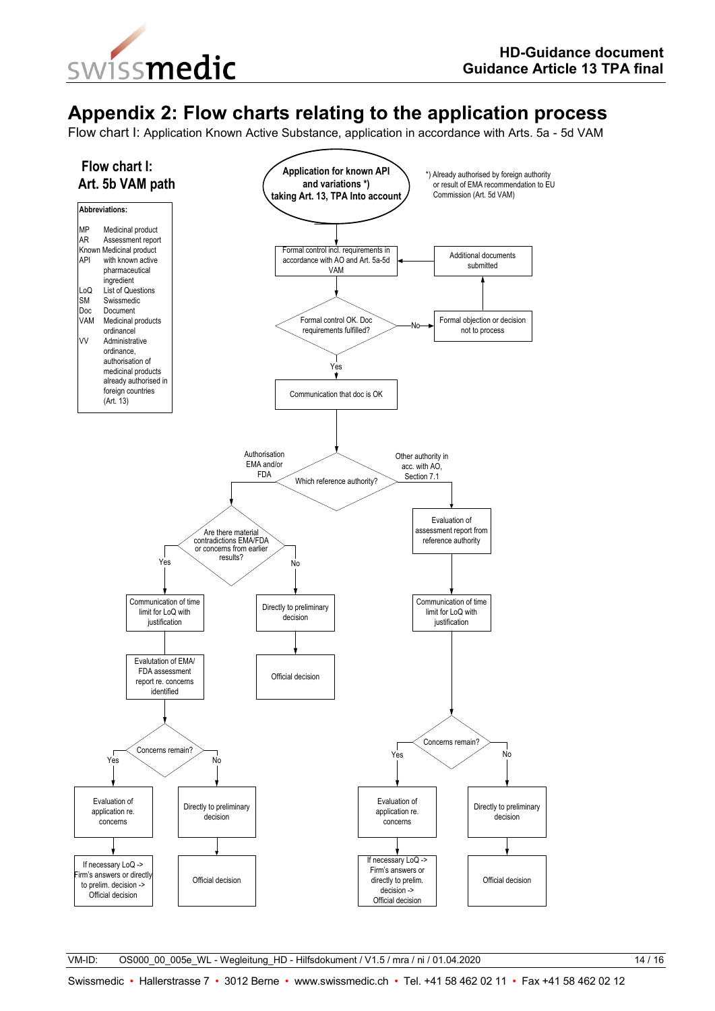

## **Appendix 2: Flow charts relating to the application process**

Flow chart I: Application Known Active Substance, application in accordance with Arts. 5a - 5d VAM



VM-ID: 0S000 00 005e WL - Wegleitung HD - Hilfsdokument / V1.5 / mra / ni / 01.04.2020 14 / 16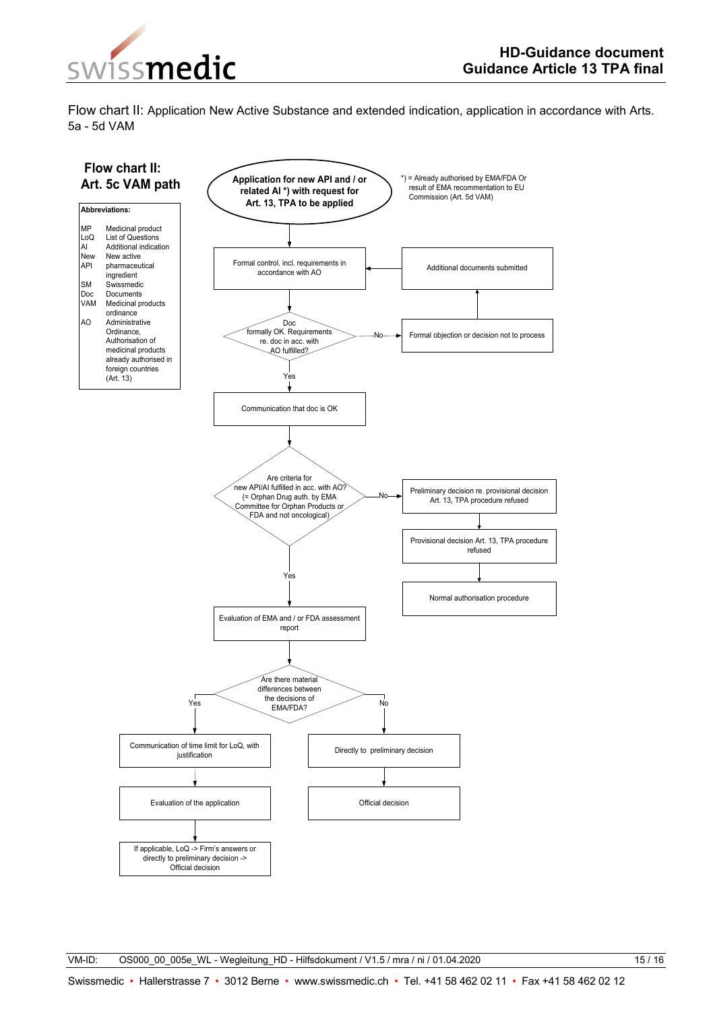

Flow chart II: Application New Active Substance and extended indication, application in accordance with Arts. 5a - 5d VAM